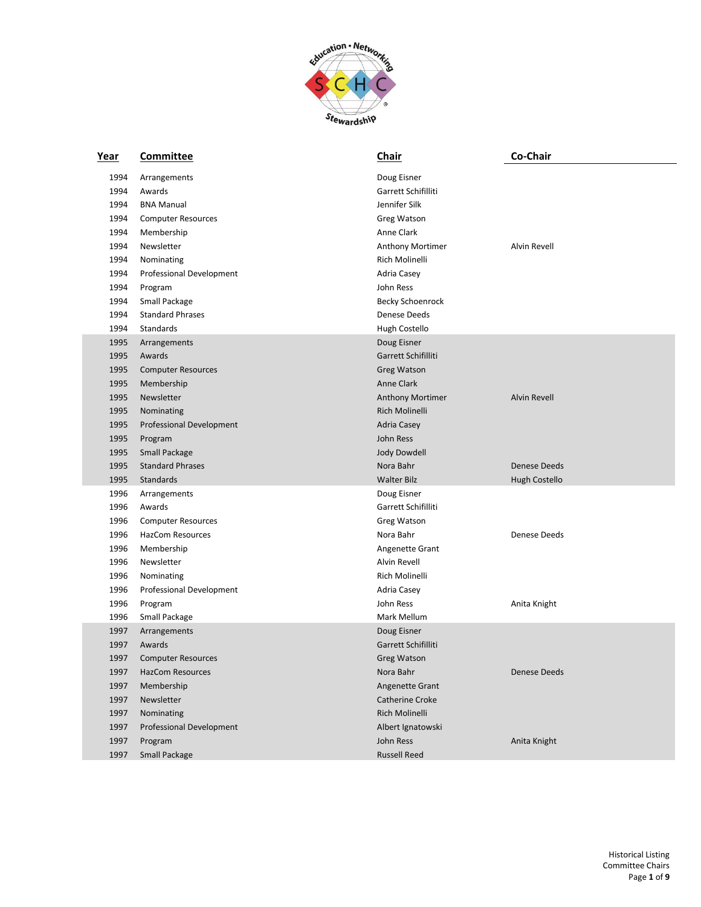

| Year | <b>Committee</b>          | <b>Chair</b>            | Co-Chair            |
|------|---------------------------|-------------------------|---------------------|
| 1994 | Arrangements              | Doug Eisner             |                     |
| 1994 | Awards                    | Garrett Schifilliti     |                     |
| 1994 | <b>BNA Manual</b>         | Jennifer Silk           |                     |
| 1994 | <b>Computer Resources</b> | Greg Watson             |                     |
| 1994 | Membership                | Anne Clark              |                     |
| 1994 | Newsletter                | <b>Anthony Mortimer</b> | Alvin Revell        |
| 1994 | Nominating                | Rich Molinelli          |                     |
| 1994 | Professional Development  | Adria Casey             |                     |
| 1994 | Program                   | John Ress               |                     |
| 1994 | Small Package             | <b>Becky Schoenrock</b> |                     |
| 1994 | <b>Standard Phrases</b>   | Denese Deeds            |                     |
| 1994 | Standards                 | Hugh Costello           |                     |
| 1995 | Arrangements              | Doug Eisner             |                     |
| 1995 | Awards                    | Garrett Schifilliti     |                     |
| 1995 | <b>Computer Resources</b> | Greg Watson             |                     |
| 1995 | Membership                | Anne Clark              |                     |
| 1995 | Newsletter                | <b>Anthony Mortimer</b> | <b>Alvin Revell</b> |
| 1995 | Nominating                | Rich Molinelli          |                     |
| 1995 | Professional Development  | <b>Adria Casey</b>      |                     |
| 1995 | Program                   | John Ress               |                     |
| 1995 | <b>Small Package</b>      | Jody Dowdell            |                     |
| 1995 | <b>Standard Phrases</b>   | Nora Bahr               | <b>Denese Deeds</b> |
| 1995 | Standards                 | <b>Walter Bilz</b>      | Hugh Costello       |
| 1996 | Arrangements              | Doug Eisner             |                     |
| 1996 | Awards                    | Garrett Schifilliti     |                     |
| 1996 | <b>Computer Resources</b> | Greg Watson             |                     |
| 1996 | <b>HazCom Resources</b>   | Nora Bahr               | Denese Deeds        |
| 1996 | Membership                | Angenette Grant         |                     |
| 1996 | Newsletter                | Alvin Revell            |                     |
| 1996 | Nominating                | Rich Molinelli          |                     |
| 1996 | Professional Development  | Adria Casey             |                     |
| 1996 | Program                   | John Ress               | Anita Knight        |
| 1996 | Small Package             | Mark Mellum             |                     |
| 1997 | Arrangements              | Doug Eisner             |                     |
| 1997 | Awards                    | Garrett Schifilliti     |                     |
| 1997 | <b>Computer Resources</b> | Greg Watson             |                     |
| 1997 | <b>HazCom Resources</b>   | Nora Bahr               | Denese Deeds        |
| 1997 | Membership                | Angenette Grant         |                     |
| 1997 | Newsletter                | Catherine Croke         |                     |
| 1997 | Nominating                | Rich Molinelli          |                     |
| 1997 | Professional Development  | Albert Ignatowski       |                     |
| 1997 | Program                   | John Ress               | Anita Knight        |
| 1997 | Small Package             | <b>Russell Reed</b>     |                     |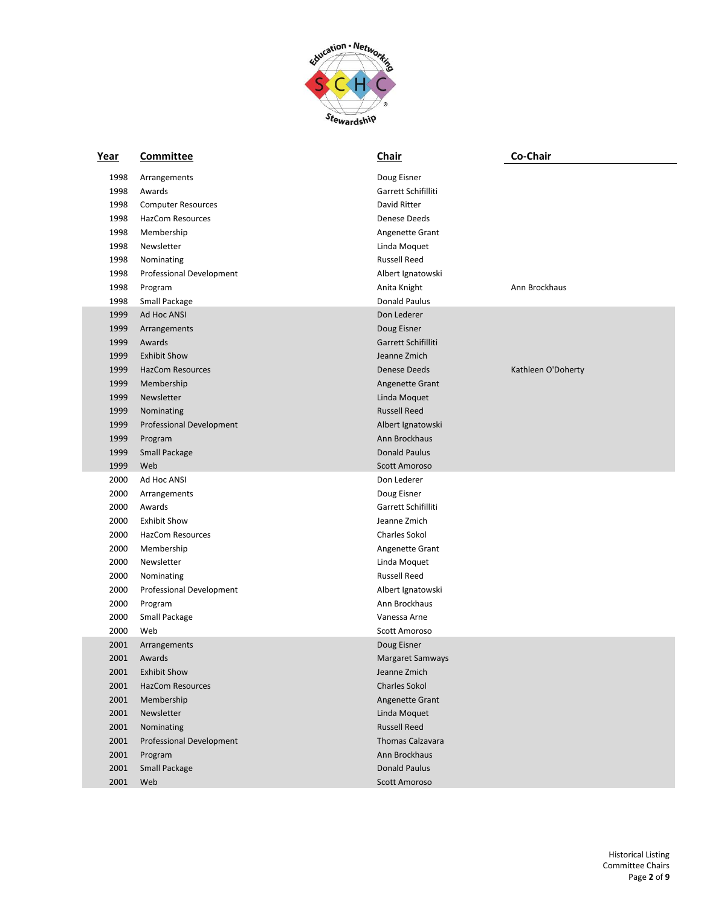

| <u>Year</u> | <b>Committee</b>          | <b>Chair</b>         | Co-Chair           |
|-------------|---------------------------|----------------------|--------------------|
| 1998        | Arrangements              | Doug Eisner          |                    |
| 1998        | Awards                    | Garrett Schifilliti  |                    |
| 1998        | <b>Computer Resources</b> | David Ritter         |                    |
| 1998        | HazCom Resources          | Denese Deeds         |                    |
| 1998        | Membership                | Angenette Grant      |                    |
| 1998        | Newsletter                | Linda Moquet         |                    |
| 1998        | Nominating                | <b>Russell Reed</b>  |                    |
| 1998        | Professional Development  | Albert Ignatowski    |                    |
| 1998        | Program                   | Anita Knight         | Ann Brockhaus      |
| 1998        | Small Package             | Donald Paulus        |                    |
| 1999        | Ad Hoc ANSI               | Don Lederer          |                    |
| 1999        | Arrangements              | Doug Eisner          |                    |
| 1999        | Awards                    | Garrett Schifilliti  |                    |
| 1999        | <b>Exhibit Show</b>       | Jeanne Zmich         |                    |
| 1999        | <b>HazCom Resources</b>   | <b>Denese Deeds</b>  | Kathleen O'Doherty |
| 1999        | Membership                | Angenette Grant      |                    |
| 1999        | Newsletter                | Linda Moquet         |                    |
| 1999        | Nominating                | <b>Russell Reed</b>  |                    |
| 1999        | Professional Development  | Albert Ignatowski    |                    |
| 1999        | Program                   | Ann Brockhaus        |                    |
| 1999        | Small Package             | <b>Donald Paulus</b> |                    |
| 1999        | Web                       | <b>Scott Amoroso</b> |                    |
| 2000        | Ad Hoc ANSI               | Don Lederer          |                    |
| 2000        | Arrangements              | Doug Eisner          |                    |
| 2000        | Awards                    | Garrett Schifilliti  |                    |
| 2000        | <b>Exhibit Show</b>       | Jeanne Zmich         |                    |
| 2000        | HazCom Resources          | <b>Charles Sokol</b> |                    |
| 2000        | Membership                | Angenette Grant      |                    |
| 2000        | Newsletter                | Linda Moquet         |                    |
| 2000        | Nominating                | <b>Russell Reed</b>  |                    |
| 2000        | Professional Development  | Albert Ignatowski    |                    |
| 2000        | Program                   | Ann Brockhaus        |                    |
| 2000        | Small Package             | Vanessa Arne         |                    |
| 2000        | Web                       | Scott Amoroso        |                    |
| 2001        | Arrangements              | Doug Eisner          |                    |
| 2001        | Awards                    | Margaret Samways     |                    |
| 2001        | <b>Exhibit Show</b>       | Jeanne Zmich         |                    |
| 2001        | <b>HazCom Resources</b>   | <b>Charles Sokol</b> |                    |
| 2001        | Membership                | Angenette Grant      |                    |
| 2001        | Newsletter                | Linda Moquet         |                    |
| 2001        | Nominating                | <b>Russell Reed</b>  |                    |
| 2001        | Professional Development  | Thomas Calzavara     |                    |
| 2001        | Program                   | Ann Brockhaus        |                    |
| 2001        | Small Package             | <b>Donald Paulus</b> |                    |
| 2001        | Web                       | Scott Amoroso        |                    |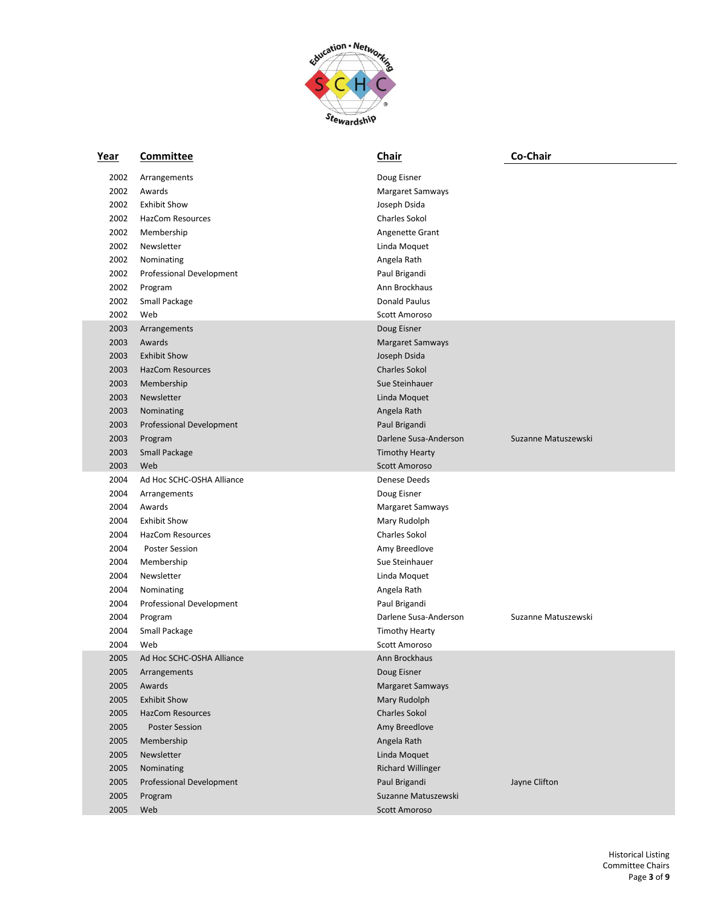

| Year | Committee                 | Chair                    | Co-Chair            |
|------|---------------------------|--------------------------|---------------------|
| 2002 | Arrangements              | Doug Eisner              |                     |
| 2002 | Awards                    | Margaret Samways         |                     |
| 2002 | <b>Exhibit Show</b>       | Joseph Dsida             |                     |
| 2002 | HazCom Resources          | <b>Charles Sokol</b>     |                     |
| 2002 | Membership                | Angenette Grant          |                     |
| 2002 | Newsletter                | Linda Moquet             |                     |
| 2002 | Nominating                | Angela Rath              |                     |
| 2002 | Professional Development  | Paul Brigandi            |                     |
| 2002 | Program                   | Ann Brockhaus            |                     |
| 2002 | Small Package             | Donald Paulus            |                     |
| 2002 | Web                       | Scott Amoroso            |                     |
| 2003 | Arrangements              | Doug Eisner              |                     |
| 2003 | Awards                    | Margaret Samways         |                     |
| 2003 | <b>Exhibit Show</b>       | Joseph Dsida             |                     |
| 2003 | <b>HazCom Resources</b>   | <b>Charles Sokol</b>     |                     |
| 2003 | Membership                | Sue Steinhauer           |                     |
| 2003 | Newsletter                | Linda Moquet             |                     |
| 2003 | Nominating                | Angela Rath              |                     |
| 2003 | Professional Development  | Paul Brigandi            |                     |
| 2003 | Program                   | Darlene Susa-Anderson    | Suzanne Matuszewski |
| 2003 | <b>Small Package</b>      | <b>Timothy Hearty</b>    |                     |
| 2003 | Web                       | <b>Scott Amoroso</b>     |                     |
| 2004 | Ad Hoc SCHC-OSHA Alliance | Denese Deeds             |                     |
| 2004 | Arrangements              | Doug Eisner              |                     |
| 2004 | Awards                    | Margaret Samways         |                     |
| 2004 | <b>Exhibit Show</b>       | Mary Rudolph             |                     |
| 2004 | HazCom Resources          | <b>Charles Sokol</b>     |                     |
| 2004 | <b>Poster Session</b>     | Amy Breedlove            |                     |
| 2004 | Membership                | Sue Steinhauer           |                     |
| 2004 | Newsletter                | Linda Moquet             |                     |
| 2004 | Nominating                | Angela Rath              |                     |
| 2004 | Professional Development  | Paul Brigandi            |                     |
| 2004 | Program                   | Darlene Susa-Anderson    | Suzanne Matuszewski |
| 2004 | Small Package             | <b>Timothy Hearty</b>    |                     |
| 2004 | Web                       | Scott Amoroso            |                     |
| 2005 | Ad Hoc SCHC-OSHA Alliance | Ann Brockhaus            |                     |
| 2005 | Arrangements              | Doug Eisner              |                     |
| 2005 | Awards                    | <b>Margaret Samways</b>  |                     |
| 2005 | <b>Exhibit Show</b>       | Mary Rudolph             |                     |
| 2005 | <b>HazCom Resources</b>   | <b>Charles Sokol</b>     |                     |
| 2005 | <b>Poster Session</b>     | Amy Breedlove            |                     |
| 2005 | Membership                | Angela Rath              |                     |
| 2005 | Newsletter                | Linda Moquet             |                     |
| 2005 | Nominating                | <b>Richard Willinger</b> |                     |
| 2005 | Professional Development  | Paul Brigandi            | Jayne Clifton       |
| 2005 | Program                   | Suzanne Matuszewski      |                     |
| 2005 | Web                       | <b>Scott Amoroso</b>     |                     |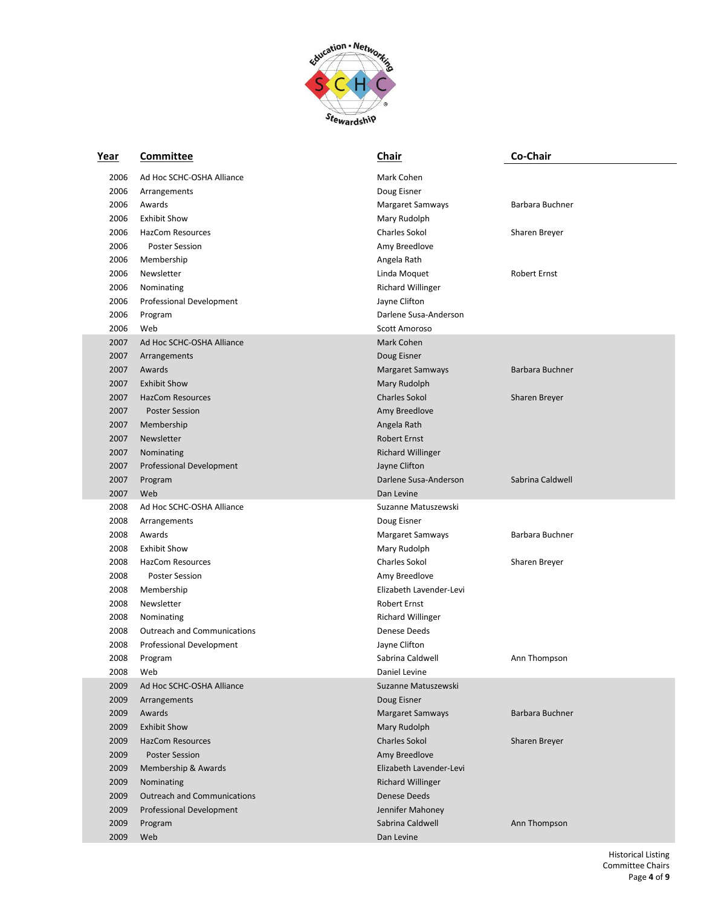

| Year | Committee                          | Chair                    | Co-Chair            |
|------|------------------------------------|--------------------------|---------------------|
| 2006 | Ad Hoc SCHC-OSHA Alliance          | Mark Cohen               |                     |
| 2006 | Arrangements                       | Doug Eisner              |                     |
| 2006 | Awards                             | Margaret Samways         | Barbara Buchner     |
| 2006 | <b>Exhibit Show</b>                | Mary Rudolph             |                     |
| 2006 | <b>HazCom Resources</b>            | <b>Charles Sokol</b>     | Sharen Breyer       |
| 2006 | <b>Poster Session</b>              | Amy Breedlove            |                     |
| 2006 | Membership                         | Angela Rath              |                     |
| 2006 | Newsletter                         | Linda Moquet             | <b>Robert Ernst</b> |
| 2006 | Nominating                         | <b>Richard Willinger</b> |                     |
| 2006 | Professional Development           | Jayne Clifton            |                     |
| 2006 | Program                            | Darlene Susa-Anderson    |                     |
| 2006 | Web                                | Scott Amoroso            |                     |
| 2007 | Ad Hoc SCHC-OSHA Alliance          | Mark Cohen               |                     |
| 2007 | Arrangements                       | Doug Eisner              |                     |
| 2007 | Awards                             | Margaret Samways         | Barbara Buchner     |
| 2007 | <b>Exhibit Show</b>                | Mary Rudolph             |                     |
| 2007 | <b>HazCom Resources</b>            | <b>Charles Sokol</b>     | Sharen Breyer       |
| 2007 | <b>Poster Session</b>              | Amy Breedlove            |                     |
| 2007 | Membership                         | Angela Rath              |                     |
| 2007 | Newsletter                         | <b>Robert Ernst</b>      |                     |
| 2007 | Nominating                         | <b>Richard Willinger</b> |                     |
| 2007 | <b>Professional Development</b>    | Jayne Clifton            |                     |
| 2007 | Program                            | Darlene Susa-Anderson    | Sabrina Caldwell    |
| 2007 | Web                                | Dan Levine               |                     |
| 2008 | Ad Hoc SCHC-OSHA Alliance          | Suzanne Matuszewski      |                     |
| 2008 | Arrangements                       | Doug Eisner              |                     |
| 2008 | Awards                             | Margaret Samways         | Barbara Buchner     |
| 2008 | <b>Exhibit Show</b>                | Mary Rudolph             |                     |
| 2008 | <b>HazCom Resources</b>            | <b>Charles Sokol</b>     | Sharen Breyer       |
| 2008 | <b>Poster Session</b>              | Amy Breedlove            |                     |
| 2008 | Membership                         | Elizabeth Lavender-Levi  |                     |
| 2008 | Newsletter                         | <b>Robert Ernst</b>      |                     |
| 2008 | Nominating                         | <b>Richard Willinger</b> |                     |
| 2008 | <b>Outreach and Communications</b> | Denese Deeds             |                     |
| 2008 | Professional Development           | Jayne Clifton            |                     |
| 2008 | Program                            | Sabrina Caldwell         | Ann Thompson        |
| 2008 | Web                                | Daniel Levine            |                     |
| 2009 | Ad Hoc SCHC-OSHA Alliance          | Suzanne Matuszewski      |                     |
| 2009 | Arrangements                       | Doug Eisner              |                     |
| 2009 | Awards                             | Margaret Samways         | Barbara Buchner     |
| 2009 | <b>Exhibit Show</b>                | Mary Rudolph             |                     |
| 2009 | <b>HazCom Resources</b>            | <b>Charles Sokol</b>     | Sharen Breyer       |
| 2009 | <b>Poster Session</b>              | Amy Breedlove            |                     |
| 2009 | Membership & Awards                | Elizabeth Lavender-Levi  |                     |
| 2009 | Nominating                         | <b>Richard Willinger</b> |                     |
| 2009 | <b>Outreach and Communications</b> | <b>Denese Deeds</b>      |                     |
| 2009 | Professional Development           | Jennifer Mahoney         |                     |
| 2009 | Program                            | Sabrina Caldwell         | Ann Thompson        |
| 2009 | Web                                | Dan Levine               |                     |
|      |                                    |                          |                     |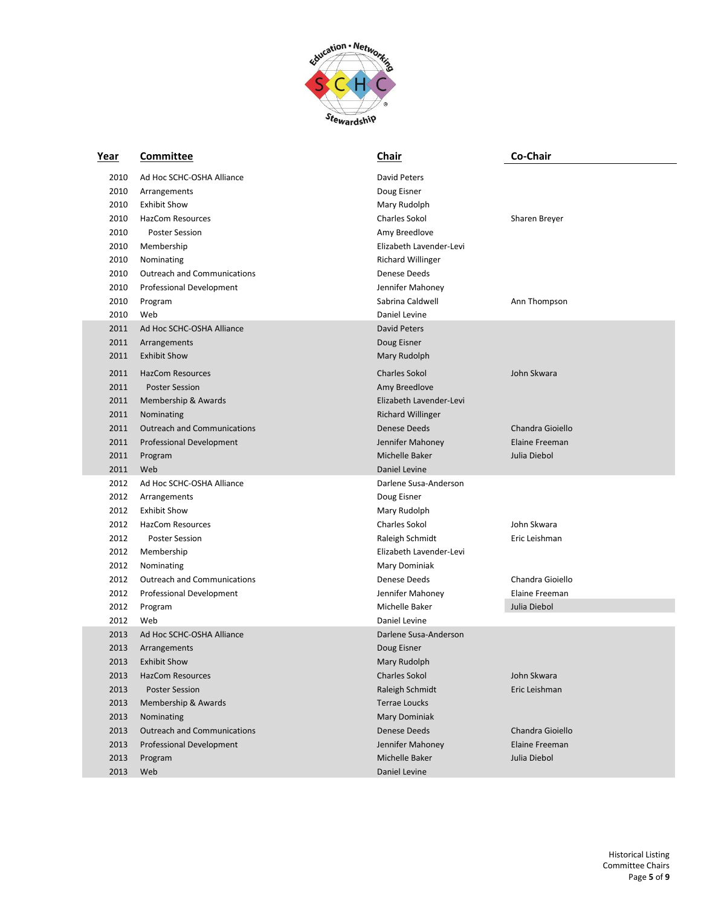

| <u>Year</u> | <b>Committee</b>                   | <b>Chair</b>             | Co-Chair         |
|-------------|------------------------------------|--------------------------|------------------|
| 2010        | Ad Hoc SCHC-OSHA Alliance          | <b>David Peters</b>      |                  |
| 2010        | Arrangements                       | Doug Eisner              |                  |
| 2010        | <b>Exhibit Show</b>                | Mary Rudolph             |                  |
| 2010        | <b>HazCom Resources</b>            | <b>Charles Sokol</b>     | Sharen Breyer    |
| 2010        | <b>Poster Session</b>              | Amy Breedlove            |                  |
| 2010        | Membership                         | Elizabeth Lavender-Levi  |                  |
| 2010        | Nominating                         | <b>Richard Willinger</b> |                  |
| 2010        | <b>Outreach and Communications</b> | <b>Denese Deeds</b>      |                  |
| 2010        | Professional Development           | Jennifer Mahoney         |                  |
| 2010        | Program                            | Sabrina Caldwell         | Ann Thompson     |
| 2010        | Web                                | Daniel Levine            |                  |
| 2011        | Ad Hoc SCHC-OSHA Alliance          | <b>David Peters</b>      |                  |
| 2011        | Arrangements                       | Doug Eisner              |                  |
| 2011        | <b>Exhibit Show</b>                | Mary Rudolph             |                  |
| 2011        | <b>HazCom Resources</b>            | <b>Charles Sokol</b>     | John Skwara      |
| 2011        | <b>Poster Session</b>              | Amy Breedlove            |                  |
| 2011        | Membership & Awards                | Elizabeth Lavender-Levi  |                  |
| 2011        | Nominating                         | <b>Richard Willinger</b> |                  |
| 2011        | <b>Outreach and Communications</b> | <b>Denese Deeds</b>      | Chandra Gioiello |
| 2011        | Professional Development           | Jennifer Mahoney         | Elaine Freeman   |
| 2011        | Program                            | Michelle Baker           | Julia Diebol     |
| 2011        | Web                                | Daniel Levine            |                  |
| 2012        | Ad Hoc SCHC-OSHA Alliance          | Darlene Susa-Anderson    |                  |
| 2012        | Arrangements                       | Doug Eisner              |                  |
| 2012        | <b>Exhibit Show</b>                | Mary Rudolph             |                  |
| 2012        | <b>HazCom Resources</b>            | Charles Sokol            | John Skwara      |
| 2012        | <b>Poster Session</b>              | Raleigh Schmidt          | Eric Leishman    |
| 2012        | Membership                         | Elizabeth Lavender-Levi  |                  |
| 2012        | Nominating                         | Mary Dominiak            |                  |
| 2012        | <b>Outreach and Communications</b> | Denese Deeds             | Chandra Gioiello |
| 2012        | <b>Professional Development</b>    | Jennifer Mahoney         | Elaine Freeman   |
| 2012        | Program                            | Michelle Baker           | Julia Diebol     |
| 2012        | Web                                | Daniel Levine            |                  |
| 2013        | Ad Hoc SCHC-OSHA Alliance          | Darlene Susa-Anderson    |                  |
| 2013        | Arrangements                       | Doug Eisner              |                  |
| 2013        | <b>Exhibit Show</b>                | Mary Rudolph             |                  |
| 2013        | <b>HazCom Resources</b>            | <b>Charles Sokol</b>     | John Skwara      |
| 2013        | <b>Poster Session</b>              | Raleigh Schmidt          | Eric Leishman    |
| 2013        | Membership & Awards                | <b>Terrae Loucks</b>     |                  |
| 2013        | Nominating                         | Mary Dominiak            |                  |
| 2013        | <b>Outreach and Communications</b> | Denese Deeds             | Chandra Gioiello |
| 2013        | Professional Development           | Jennifer Mahoney         | Elaine Freeman   |
| 2013        | Program                            | Michelle Baker           | Julia Diebol     |
| 2013        | Web                                | Daniel Levine            |                  |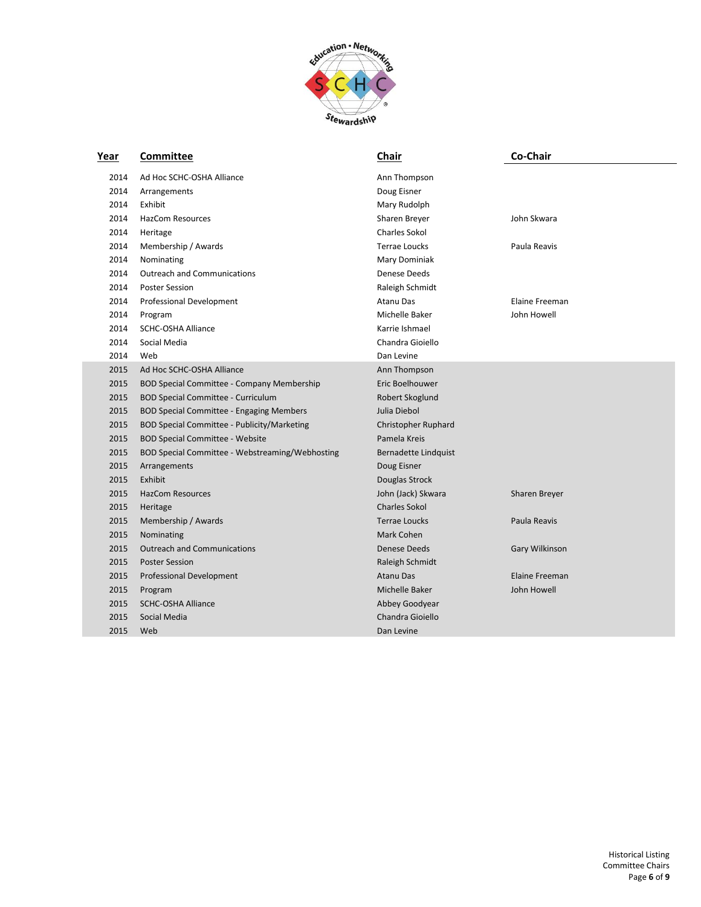

| <u>Year</u> | Committee                                       | Chair                | Co-Chair       |
|-------------|-------------------------------------------------|----------------------|----------------|
| 2014        | Ad Hoc SCHC-OSHA Alliance                       | Ann Thompson         |                |
| 2014        | Arrangements                                    | Doug Eisner          |                |
| 2014        | Exhibit                                         | Mary Rudolph         |                |
| 2014        | <b>HazCom Resources</b>                         | Sharen Breyer        | John Skwara    |
| 2014        | Heritage                                        | <b>Charles Sokol</b> |                |
| 2014        | Membership / Awards                             | Terrae Loucks        | Paula Reavis   |
| 2014        | Nominating                                      | Mary Dominiak        |                |
| 2014        | <b>Outreach and Communications</b>              | Denese Deeds         |                |
| 2014        | <b>Poster Session</b>                           | Raleigh Schmidt      |                |
| 2014        | Professional Development                        | <b>Atanu Das</b>     | Elaine Freeman |
| 2014        | Program                                         | Michelle Baker       | John Howell    |
| 2014        | <b>SCHC-OSHA Alliance</b>                       | Karrie Ishmael       |                |
| 2014        | Social Media                                    | Chandra Gioiello     |                |
| 2014        | Web                                             | Dan Levine           |                |
| 2015        | Ad Hoc SCHC-OSHA Alliance                       | Ann Thompson         |                |
| 2015        | BOD Special Committee - Company Membership      | Eric Boelhouwer      |                |
| 2015        | <b>BOD Special Committee - Curriculum</b>       | Robert Skoglund      |                |
| 2015        | BOD Special Committee - Engaging Members        | Julia Diebol         |                |
| 2015        | BOD Special Committee - Publicity/Marketing     | Christopher Ruphard  |                |
| 2015        | <b>BOD Special Committee - Website</b>          | Pamela Kreis         |                |
| 2015        | BOD Special Committee - Webstreaming/Webhosting | Bernadette Lindquist |                |
| 2015        | Arrangements                                    | Doug Eisner          |                |
| 2015        | Exhibit                                         | Douglas Strock       |                |
| 2015        | <b>HazCom Resources</b>                         | John (Jack) Skwara   | Sharen Breyer  |
| 2015        | Heritage                                        | <b>Charles Sokol</b> |                |
| 2015        | Membership / Awards                             | <b>Terrae Loucks</b> | Paula Reavis   |
| 2015        | Nominating                                      | Mark Cohen           |                |
| 2015        | <b>Outreach and Communications</b>              | Denese Deeds         | Gary Wilkinson |
| 2015        | <b>Poster Session</b>                           | Raleigh Schmidt      |                |
| 2015        | Professional Development                        | <b>Atanu Das</b>     | Elaine Freeman |
| 2015        | Program                                         | Michelle Baker       | John Howell    |
| 2015        | <b>SCHC-OSHA Alliance</b>                       | Abbey Goodyear       |                |
| 2015        | Social Media                                    | Chandra Gioiello     |                |
| 2015        | Web                                             | Dan Levine           |                |
|             |                                                 |                      |                |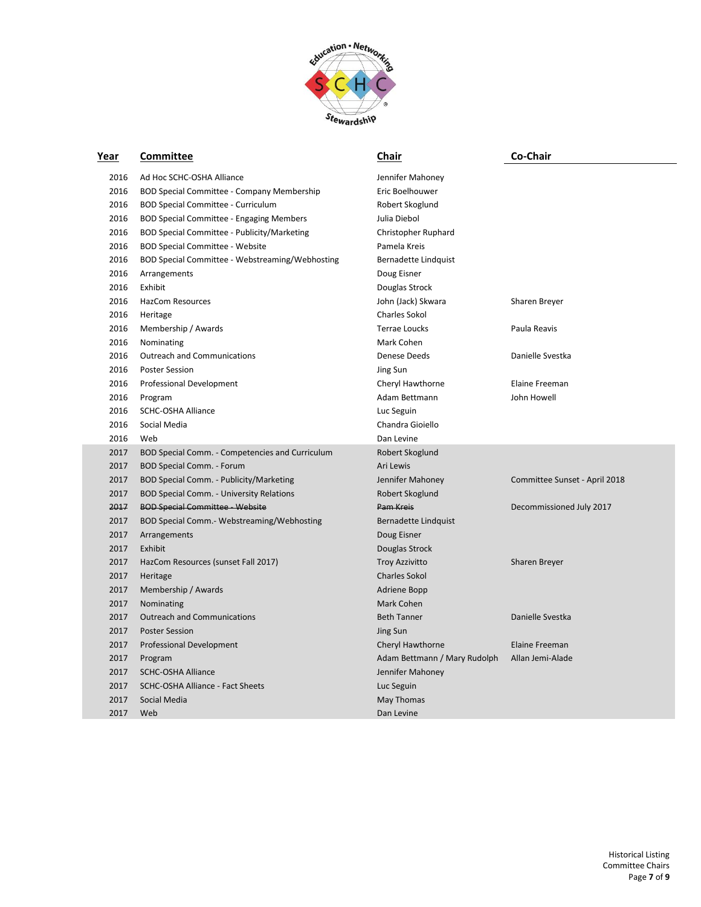

| Year | Committee                                       | Chair                        | Co-Chair                      |
|------|-------------------------------------------------|------------------------------|-------------------------------|
| 2016 | Ad Hoc SCHC-OSHA Alliance                       | Jennifer Mahoney             |                               |
| 2016 | BOD Special Committee - Company Membership      | Eric Boelhouwer              |                               |
| 2016 | BOD Special Committee - Curriculum              | Robert Skoglund              |                               |
| 2016 | BOD Special Committee - Engaging Members        | Julia Diebol                 |                               |
| 2016 | BOD Special Committee - Publicity/Marketing     | Christopher Ruphard          |                               |
| 2016 | <b>BOD Special Committee - Website</b>          | Pamela Kreis                 |                               |
| 2016 | BOD Special Committee - Webstreaming/Webhosting | Bernadette Lindquist         |                               |
| 2016 | Arrangements                                    | Doug Eisner                  |                               |
| 2016 | Exhibit                                         | Douglas Strock               |                               |
| 2016 | <b>HazCom Resources</b>                         | John (Jack) Skwara           | Sharen Breyer                 |
| 2016 | Heritage                                        | Charles Sokol                |                               |
| 2016 | Membership / Awards                             | Terrae Loucks                | Paula Reavis                  |
| 2016 | Nominating                                      | Mark Cohen                   |                               |
| 2016 | <b>Outreach and Communications</b>              | Denese Deeds                 | Danielle Svestka              |
| 2016 | <b>Poster Session</b>                           | Jing Sun                     |                               |
| 2016 | Professional Development                        | Cheryl Hawthorne             | Elaine Freeman                |
| 2016 | Program                                         | Adam Bettmann                | John Howell                   |
| 2016 | <b>SCHC-OSHA Alliance</b>                       | Luc Seguin                   |                               |
| 2016 | Social Media                                    | Chandra Gioiello             |                               |
| 2016 | Web                                             | Dan Levine                   |                               |
| 2017 | BOD Special Comm. - Competencies and Curriculum | Robert Skoglund              |                               |
| 2017 | <b>BOD Special Comm. - Forum</b>                | Ari Lewis                    |                               |
| 2017 | BOD Special Comm. - Publicity/Marketing         | Jennifer Mahoney             | Committee Sunset - April 2018 |
| 2017 | <b>BOD Special Comm. - University Relations</b> | Robert Skoglund              |                               |
| 2017 | <b>BOD Special Committee - Website</b>          | Pam Kreis                    | Decommissioned July 2017      |
| 2017 | BOD Special Comm.- Webstreaming/Webhosting      | <b>Bernadette Lindquist</b>  |                               |
| 2017 | Arrangements                                    | Doug Eisner                  |                               |
| 2017 | Exhibit                                         | Douglas Strock               |                               |
| 2017 | HazCom Resources (sunset Fall 2017)             | <b>Troy Azzivitto</b>        | Sharen Breyer                 |
| 2017 | Heritage                                        | <b>Charles Sokol</b>         |                               |
| 2017 | Membership / Awards                             | Adriene Bopp                 |                               |
| 2017 | Nominating                                      | <b>Mark Cohen</b>            |                               |
| 2017 | <b>Outreach and Communications</b>              | <b>Beth Tanner</b>           | Danielle Svestka              |
| 2017 | <b>Poster Session</b>                           | Jing Sun                     |                               |
| 2017 | <b>Professional Development</b>                 | Cheryl Hawthorne             | Elaine Freeman                |
| 2017 | Program                                         | Adam Bettmann / Mary Rudolph | Allan Jemi-Alade              |
| 2017 | <b>SCHC-OSHA Alliance</b>                       | Jennifer Mahoney             |                               |
| 2017 | SCHC-OSHA Alliance - Fact Sheets                | Luc Seguin                   |                               |
| 2017 | Social Media                                    | May Thomas                   |                               |
| 2017 | Web                                             | Dan Levine                   |                               |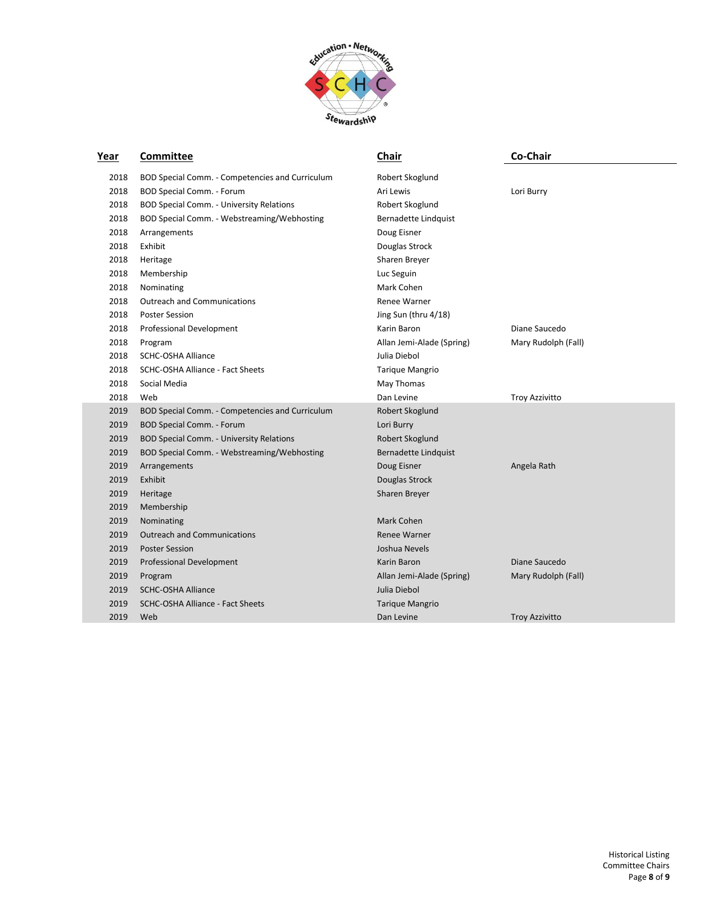

| Year | Committee                                       | <b>Chair</b>                | Co-Chair              |
|------|-------------------------------------------------|-----------------------------|-----------------------|
| 2018 | BOD Special Comm. - Competencies and Curriculum | Robert Skoglund             |                       |
| 2018 | BOD Special Comm. - Forum                       | Ari Lewis                   | Lori Burry            |
| 2018 | <b>BOD Special Comm. - University Relations</b> | Robert Skoglund             |                       |
| 2018 | BOD Special Comm. - Webstreaming/Webhosting     | Bernadette Lindquist        |                       |
| 2018 | Arrangements                                    | Doug Eisner                 |                       |
| 2018 | Exhibit                                         | Douglas Strock              |                       |
| 2018 | Heritage                                        | Sharen Breyer               |                       |
| 2018 | Membership                                      | Luc Seguin                  |                       |
| 2018 | Nominating                                      | Mark Cohen                  |                       |
| 2018 | <b>Outreach and Communications</b>              | <b>Renee Warner</b>         |                       |
| 2018 | <b>Poster Session</b>                           | Jing Sun (thru 4/18)        |                       |
| 2018 | Professional Development                        | Karin Baron                 | Diane Saucedo         |
| 2018 | Program                                         | Allan Jemi-Alade (Spring)   | Mary Rudolph (Fall)   |
| 2018 | <b>SCHC-OSHA Alliance</b>                       | Julia Diebol                |                       |
| 2018 | SCHC-OSHA Alliance - Fact Sheets                | <b>Tarique Mangrio</b>      |                       |
| 2018 | Social Media                                    | May Thomas                  |                       |
| 2018 | Web                                             | Dan Levine                  | <b>Troy Azzivitto</b> |
| 2019 | BOD Special Comm. - Competencies and Curriculum | Robert Skoglund             |                       |
| 2019 | BOD Special Comm. - Forum                       | Lori Burry                  |                       |
| 2019 | <b>BOD Special Comm. - University Relations</b> | Robert Skoglund             |                       |
| 2019 | BOD Special Comm. - Webstreaming/Webhosting     | <b>Bernadette Lindquist</b> |                       |
| 2019 | Arrangements                                    | Doug Eisner                 | Angela Rath           |
| 2019 | Exhibit                                         | Douglas Strock              |                       |
| 2019 | Heritage                                        | Sharen Breyer               |                       |
| 2019 | Membership                                      |                             |                       |
| 2019 | Nominating                                      | Mark Cohen                  |                       |
| 2019 | <b>Outreach and Communications</b>              | <b>Renee Warner</b>         |                       |
| 2019 | <b>Poster Session</b>                           | Joshua Nevels               |                       |
| 2019 | <b>Professional Development</b>                 | Karin Baron                 | Diane Saucedo         |
| 2019 | Program                                         | Allan Jemi-Alade (Spring)   | Mary Rudolph (Fall)   |
| 2019 | <b>SCHC-OSHA Alliance</b>                       | Julia Diebol                |                       |
| 2019 | SCHC-OSHA Alliance - Fact Sheets                | <b>Tarique Mangrio</b>      |                       |
| 2019 | Web                                             | Dan Levine                  | <b>Troy Azzivitto</b> |